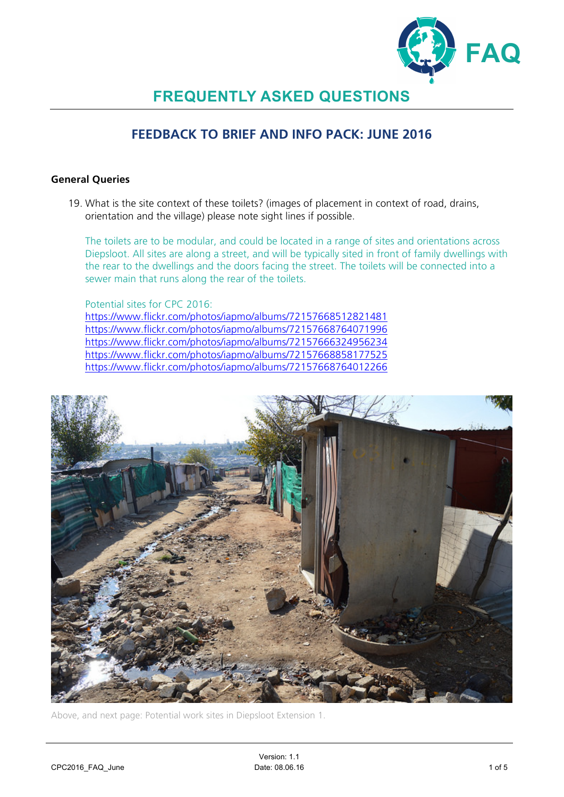

## **FREQUENTLY ASKED QUESTIONS**

## **FEEDBACK TO BRIEF AND INFO PACK: JUNE 2016**

## **General Queries**

19. What is the site context of these toilets? (images of placement in context of road, drains, orientation and the village) please note sight lines if possible.

The toilets are to be modular, and could be located in a range of sites and orientations across Diepsloot. All sites are along a street, and will be typically sited in front of family dwellings with the rear to the dwellings and the doors facing the street. The toilets will be connected into a sewer main that runs along the rear of the toilets.

Potential sites for CPC 2016: https://www.flickr.com/photos/iapmo/albums/72157668512821481 https://www.flickr.com/photos/iapmo/albums/72157668764071996 https://www.flickr.com/photos/iapmo/albums/72157666324956234 https://www.flickr.com/photos/iapmo/albums/72157668858177525 https://www.flickr.com/photos/iapmo/albums/72157668764012266



Above, and next page: Potential work sites in Diepsloot Extension 1.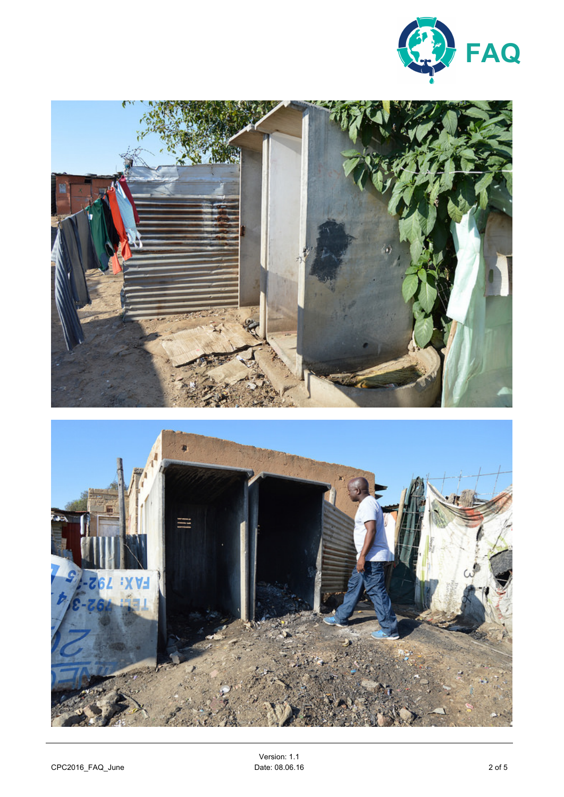



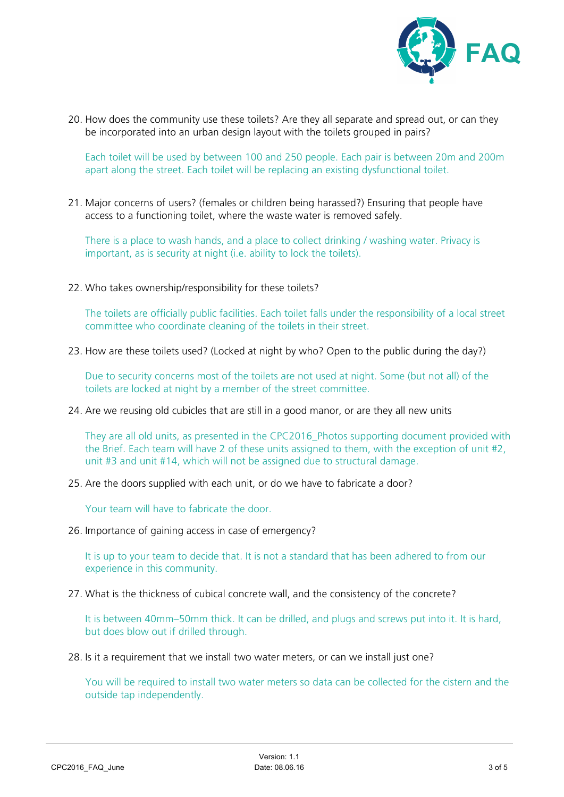

20. How does the community use these toilets? Are they all separate and spread out, or can they be incorporated into an urban design layout with the toilets grouped in pairs?

Each toilet will be used by between 100 and 250 people. Each pair is between 20m and 200m apart along the street. Each toilet will be replacing an existing dysfunctional toilet.

21. Major concerns of users? (females or children being harassed?) Ensuring that people have access to a functioning toilet, where the waste water is removed safely.

There is a place to wash hands, and a place to collect drinking / washing water. Privacy is important, as is security at night (i.e. ability to lock the toilets).

22. Who takes ownership/responsibility for these toilets?

The toilets are officially public facilities. Each toilet falls under the responsibility of a local street committee who coordinate cleaning of the toilets in their street.

23. How are these toilets used? (Locked at night by who? Open to the public during the day?)

Due to security concerns most of the toilets are not used at night. Some (but not all) of the toilets are locked at night by a member of the street committee.

24. Are we reusing old cubicles that are still in a good manor, or are they all new units

They are all old units, as presented in the CPC2016 Photos supporting document provided with the Brief. Each team will have 2 of these units assigned to them, with the exception of unit #2, unit #3 and unit #14, which will not be assigned due to structural damage.

25. Are the doors supplied with each unit, or do we have to fabricate a door?

Your team will have to fabricate the door.

26. Importance of gaining access in case of emergency?

It is up to your team to decide that. It is not a standard that has been adhered to from our experience in this community.

27. What is the thickness of cubical concrete wall, and the consistency of the concrete?

It is between 40mm–50mm thick. It can be drilled, and plugs and screws put into it. It is hard, but does blow out if drilled through.

28. Is it a requirement that we install two water meters, or can we install just one?

You will be required to install two water meters so data can be collected for the cistern and the outside tap independently.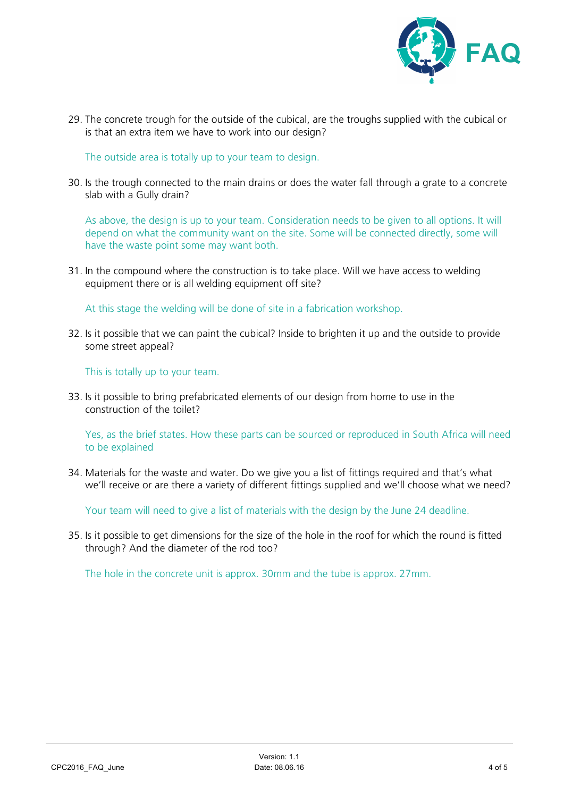

29. The concrete trough for the outside of the cubical, are the troughs supplied with the cubical or is that an extra item we have to work into our design?

The outside area is totally up to your team to design.

30. Is the trough connected to the main drains or does the water fall through a grate to a concrete slab with a Gully drain?

As above, the design is up to your team. Consideration needs to be given to all options. It will depend on what the community want on the site. Some will be connected directly, some will have the waste point some may want both.

31. In the compound where the construction is to take place. Will we have access to welding equipment there or is all welding equipment off site?

At this stage the welding will be done of site in a fabrication workshop.

32. Is it possible that we can paint the cubical? Inside to brighten it up and the outside to provide some street appeal?

This is totally up to your team.

33. Is it possible to bring prefabricated elements of our design from home to use in the construction of the toilet?

Yes, as the brief states. How these parts can be sourced or reproduced in South Africa will need to be explained

34. Materials for the waste and water. Do we give you a list of fittings required and that's what we'll receive or are there a variety of different fittings supplied and we'll choose what we need?

Your team will need to give a list of materials with the design by the June 24 deadline.

35. Is it possible to get dimensions for the size of the hole in the roof for which the round is fitted through? And the diameter of the rod too?

The hole in the concrete unit is approx. 30mm and the tube is approx. 27mm.